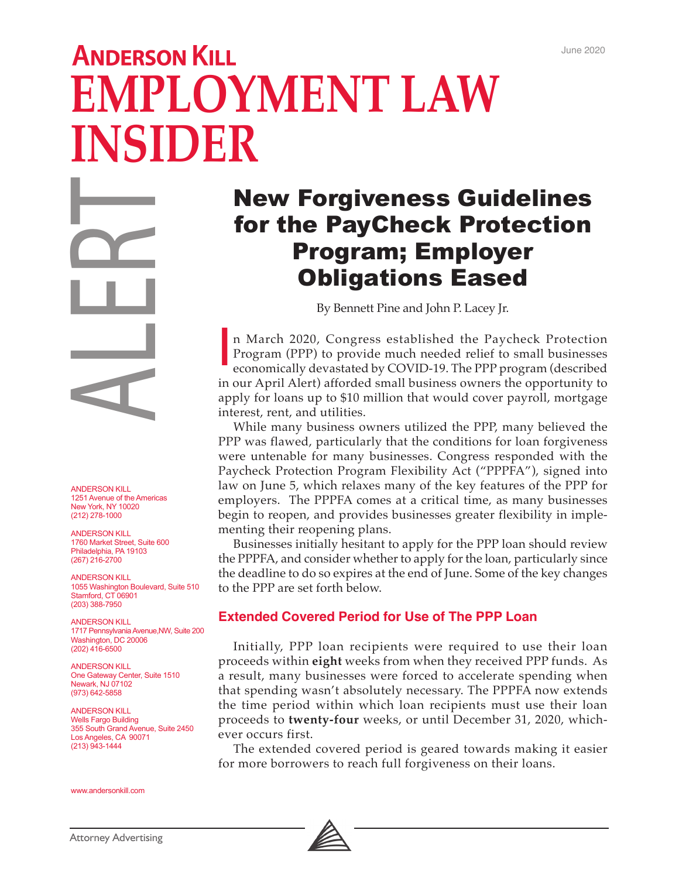# **ANDERSON KILL EMPLOYMENT LAW INSIDER**

ANDERSON KILL 1251 Avenue of the Americas New York, NY 10020 (212) 278-1000 ANDERSON KILL<br>
1251 Avenue of the America<br>
New York, NY 10020<br>
(212) 278-1000<br>
(212) 278-1000<br>
(212) 278-1000<br>
(213) 278-1000<br>
(207) 216-2700<br>
ANDERSON KILL<br>
1760 Market Street, Suite 6<br>
Philadelphia, DC 10901<br>
SWashington

ANDERSON KILL 1760 Market Street, Suite 600 Philadelphia, PA 19103 (267) 216-2700

ANDERSON KILL 1055 Washington Boulevard, Suite 510 Stamford, CT 06901 (203) 388-7950

ANDERSON KILL 1717 Pennsylvania Avenue,NW, Suite 200 Washington, DC 20006 (202) 416-6500

ANDERSON KILL One Gateway Center, Suite 1510 Newark, NJ 07102 (973) 642-5858

ANDERSON KILL Wells Fargo Building 355 South Grand Avenue, Suite 2450 Los Angeles, CA 90071 (213) 943-1444

www.andersonkill.com

## New Forgiveness Guidelines for the PayCheck Protection Program; Employer Obligations Eased

By Bennett Pine and John P. Lacey Jr.

n March 2020, Congress established the Paycheck Protection Program (PPP) to provide much needed relief to small businesses economically devastated by COVID-19. The PPP program (described in our April Alert) afforded small business owners the opportunity to apply for loans up to \$10 million that would cover payroll, mortgage interest, rent, and utilities.

While many business owners utilized the PPP, many believed the PPP was flawed, particularly that the conditions for loan forgiveness were untenable for many businesses. Congress responded with the Paycheck Protection Program Flexibility Act ("PPPFA"), signed into law on June 5, which relaxes many of the key features of the PPP for employers. The PPPFA comes at a critical time, as many businesses begin to reopen, and provides businesses greater flexibility in implementing their reopening plans.

Businesses initially hesitant to apply for the PPP loan should review the PPPFA, and consider whether to apply for the loan, particularly since the deadline to do so expires at the end of June. Some of the key changes to the PPP are set forth below.

#### **Extended Covered Period for Use of The PPP Loan**

Initially, PPP loan recipients were required to use their loan proceeds within **eight** weeks from when they received PPP funds. As a result, many businesses were forced to accelerate spending when that spending wasn't absolutely necessary. The PPPFA now extends the time period within which loan recipients must use their loan proceeds to **twenty-four** weeks, or until December 31, 2020, whichever occurs first.

The extended covered period is geared towards making it easier for more borrowers to reach full forgiveness on their loans.

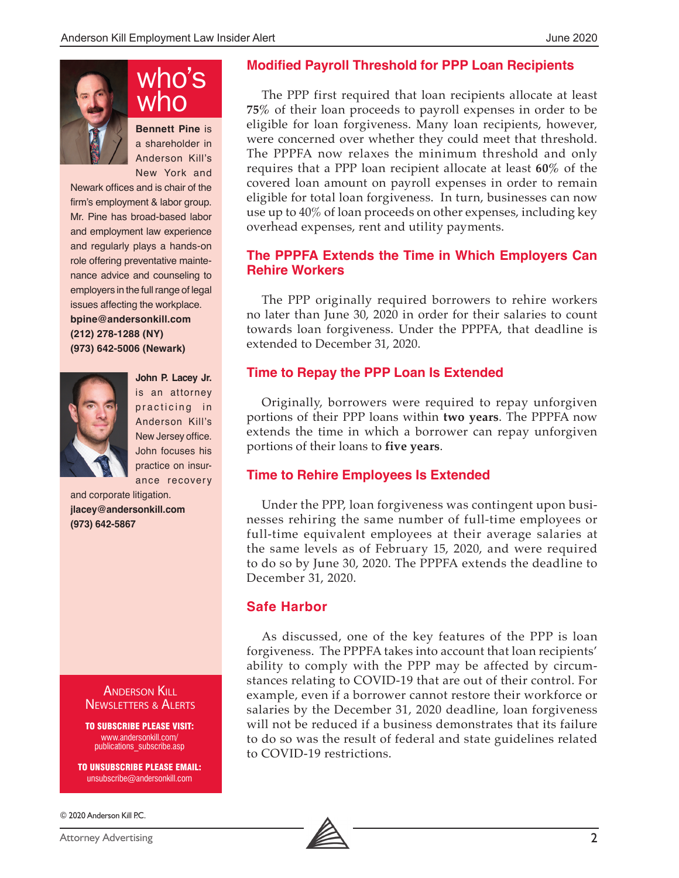

**Bennett Pine** is a shareholder in Anderson Kill's New York and who

Newark offices and is chair of the firm's employment & labor group. Mr. Pine has broad-based labor and employment law experience and regularly plays a hands-on role offering preventative maintenance advice and counseling to employers in the full range of legal issues affecting the workplace. **bpine@andersonkill.com (212) 278-1288 (NY) (973) 642-5006 (Newark)**



**John P. Lacey Jr.**  is an attorney practicing in Anderson Kill's New Jersey office. John focuses his practice on insurance recovery

and corporate litigation. **jlacey@andersonkill.com (973) 642-5867**

> Anderson Kill Newsletters & Alerts

> TO SUBSCRIBE PLEASE VISIT: www.andersonkill.com/ publications\_subscribe.asp

TO UNSUBSCRIBE PLEASE EMAIL: unsubscribe@andersonkill.com

© 2020 Anderson Kill P.C.

#### **Modified Payroll Threshold for PPP Loan Recipients**

The PPP first required that loan recipients allocate at least **75%** of their loan proceeds to payroll expenses in order to be eligible for loan forgiveness. Many loan recipients, however, were concerned over whether they could meet that threshold. The PPPFA now relaxes the minimum threshold and only requires that a PPP loan recipient allocate at least **60%** of the covered loan amount on payroll expenses in order to remain eligible for total loan forgiveness. In turn, businesses can now use up to 40% of loan proceeds on other expenses, including key overhead expenses, rent and utility payments.

#### **The PPPFA Extends the Time in Which Employers Can Rehire Workers**

The PPP originally required borrowers to rehire workers no later than June 30, 2020 in order for their salaries to count towards loan forgiveness. Under the PPPFA, that deadline is extended to December 31, 2020.

#### **Time to Repay the PPP Loan Is Extended**

Originally, borrowers were required to repay unforgiven portions of their PPP loans within **two years**. The PPPFA now extends the time in which a borrower can repay unforgiven portions of their loans to **five years**.

#### **Time to Rehire Employees Is Extended**

Under the PPP, loan forgiveness was contingent upon businesses rehiring the same number of full-time employees or full-time equivalent employees at their average salaries at the same levels as of February 15, 2020, and were required to do so by June 30, 2020. The PPPFA extends the deadline to December 31, 2020.

#### **Safe Harbor**

As discussed, one of the key features of the PPP is loan forgiveness. The PPPFA takes into account that loan recipients' ability to comply with the PPP may be affected by circumstances relating to COVID-19 that are out of their control. For example, even if a borrower cannot restore their workforce or salaries by the December 31, 2020 deadline, loan forgiveness will not be reduced if a business demonstrates that its failure to do so was the result of federal and state guidelines related to COVID-19 restrictions.